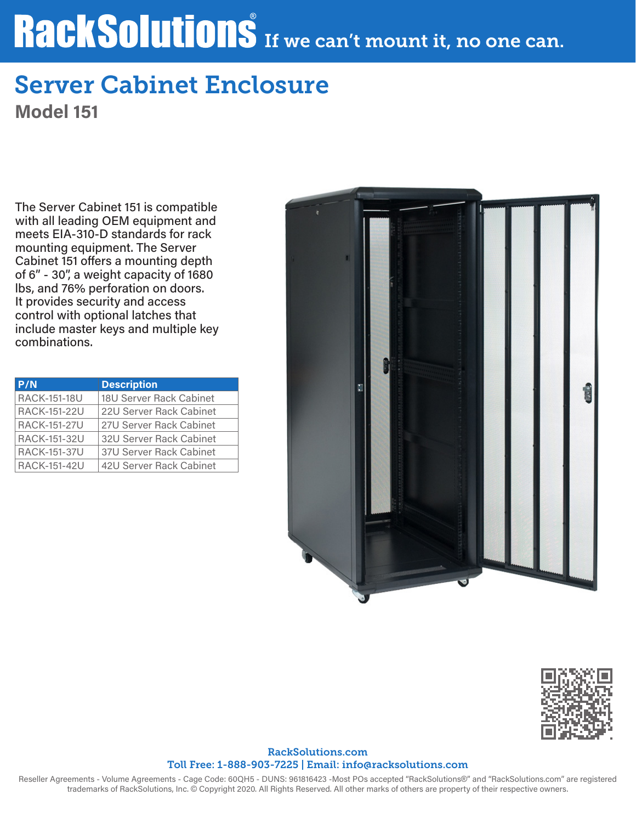# RackSolutions If we can't mount it, no one can.

## Server Cabinet Enclosure

Model 151

The Server Cabinet 151 is compatible with all leading OEM equipment and meets EIA-310-D standards for rack mounting equipment. The Server Cabinet 151 offers a mounting depth of 6" - 30", a weight capacity of 1680 lbs, and 76% perforation on doors. It provides security and access control with optional latches that include master keys and multiple key combinations.

| P/N                 | <b>Description</b>      |
|---------------------|-------------------------|
| <b>RACK-151-18U</b> | 18U Server Rack Cabinet |
| <b>RACK-151-22U</b> | 22U Server Rack Cabinet |
| <b>RACK-151-27U</b> | 27U Server Rack Cabinet |
| <b>RACK-151-32U</b> | 32U Server Rack Cabinet |
| <b>RACK-151-37U</b> | 37U Server Rack Cabinet |
| <b>RACK-151-42U</b> | 42U Server Rack Cabinet |





#### RackSolutions.com Toll Free: 1-888-903-7225 | Email: info@racksolutions.com

Reseller Agreements - Volume Agreements - Cage Code: 60QH5 - DUNS: 961816423 -Most POs accepted "RackSolutions®" and "RackSolutions.com" are registered trademarks of RackSolutions, Inc. © Copyright 2020. All Rights Reserved. All other marks of others are property of their respective owners.